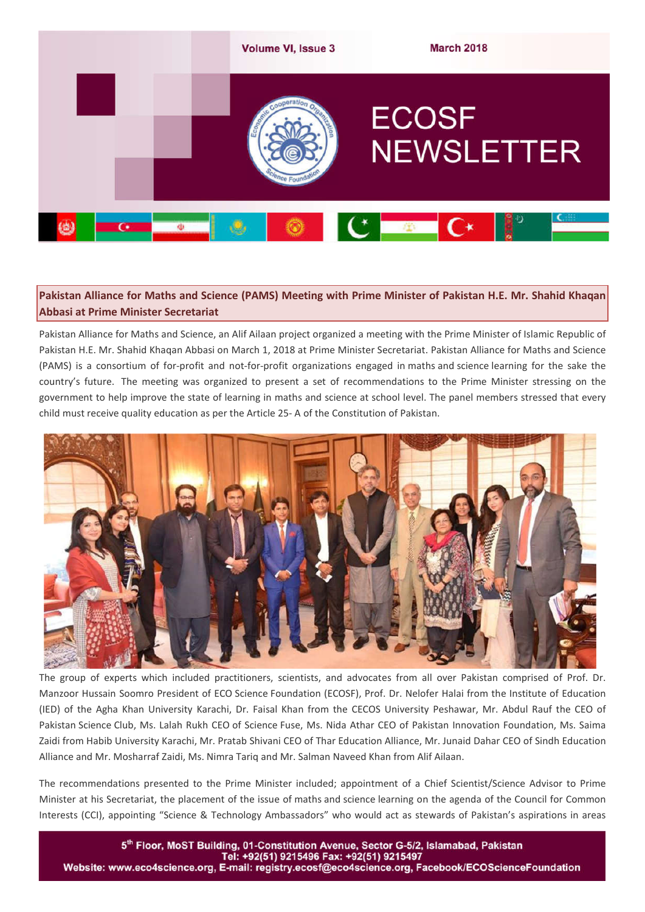

## **Pakistan Alliance for Maths and Science (PAMS) Meeting with Prime Minister of Pakistan H.E. Mr. Shahid Khaqan Abbasi at Prime Minister Secretariat**

Pakistan Alliance for Maths and Science, an Alif Ailaan project organized a meeting with the Prime Minister of Islamic Republic of Pakistan H.E. Mr. Shahid Khaqan Abbasi on March 1, 2018 at Prime Minister Secretariat. Pakistan Alliance for Maths and Science (PAMS) is a consortium of for-profit and not-for-profit organizations engaged in maths and science learning for the sake the country's future. The meeting was organized to present a set of recommendations to the Prime Minister stressing on the government to help improve the state of learning in maths and science at school level. The panel members stressed that every child must receive quality education as per the Article 25- A of the Constitution of Pakistan.



The group of experts which included practitioners, scientists, and advocates from all over Pakistan comprised of Prof. Dr. Manzoor Hussain Soomro President of ECO Science Foundation (ECOSF), Prof. Dr. Nelofer Halai from the Institute of Education (IED) of the Agha Khan University Karachi, Dr. Faisal Khan from the CECOS University Peshawar, Mr. Abdul Rauf the CEO of Pakistan Science Club, Ms. Lalah Rukh CEO of Science Fuse, Ms. Nida Athar CEO of Pakistan Innovation Foundation, Ms. Saima Zaidi from Habib University Karachi, Mr. Pratab Shivani CEO of Thar Education Alliance, Mr. Junaid Dahar CEO of Sindh Education Alliance and Mr. Mosharraf Zaidi, Ms. Nimra Tariq and Mr. Salman Naveed Khan from Alif Ailaan.

The recommendations presented to the Prime Minister included; appointment of a Chief Scientist/Science Advisor to Prime Minister at his Secretariat, the placement of the issue of maths and science learning on the agenda of the Council for Common Interests (CCI), appointing "Science & Technology Ambassadors" who would act as stewards of Pakistan's aspirations in areas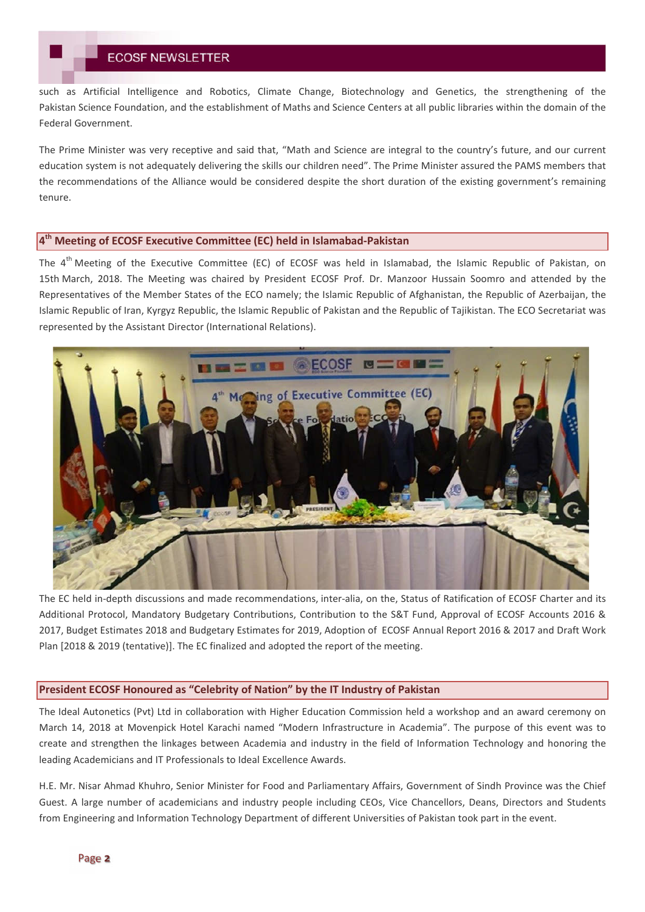such as Artificial Intelligence and Robotics, Climate Change, Biotechnology and Genetics, the strengthening of the Pakistan Science Foundation, and the establishment of Maths and Science Centers at all public libraries within the domain of the Federal Government.

The Prime Minister was very receptive and said that, "Math and Science are integral to the country's future, and our current education system is not adequately delivering the skills our children need". The Prime Minister assured the PAMS members that the recommendations of the Alliance would be considered despite the short duration of the existing government's remaining tenure.

### **4th Meeting of ECOSF Executive Committee (EC) held in Islamabad-Pakistan**

The  $4<sup>th</sup>$  Meeting of the Executive Committee (EC) of ECOSF was held in Islamabad, the Islamic Republic of Pakistan, on 15th March, 2018. The Meeting was chaired by President ECOSF Prof. Dr. Manzoor Hussain Soomro and attended by the Representatives of the Member States of the ECO namely; the Islamic Republic of Afghanistan, the Republic of Azerbaijan, the Islamic Republic of Iran, Kyrgyz Republic, the Islamic Republic of Pakistan and the Republic of Tajikistan. The ECO Secretariat was represented by the Assistant Director (International Relations).



The EC held in-depth discussions and made recommendations, inter-alia, on the, Status of Ratification of ECOSF Charter and its Additional Protocol, Mandatory Budgetary Contributions, Contribution to the S&T Fund, Approval of ECOSF Accounts 2016 & 2017, Budget Estimates 2018 and Budgetary Estimates for 2019, Adoption of ECOSF Annual Report 2016 & 2017 and Draft Work Plan [2018 & 2019 (tentative)]. The EC finalized and adopted the report of the meeting.

#### **President ECOSF Honoured as "Celebrity of Nation" by the IT Industry of Pakistan**

The Ideal Autonetics (Pvt) Ltd in collaboration with Higher Education Commission held a workshop and an award ceremony on March 14, 2018 at Movenpick Hotel Karachi named "Modern Infrastructure in Academia". The purpose of this event was to create and strengthen the linkages between Academia and industry in the field of Information Technology and honoring the leading Academicians and IT Professionals to Ideal Excellence Awards.

H.E. Mr. Nisar Ahmad Khuhro, Senior Minister for Food and Parliamentary Affairs, Government of Sindh Province was the Chief Guest. A large number of academicians and industry people including CEOs, Vice Chancellors, Deans, Directors and Students from Engineering and Information Technology Department of different Universities of Pakistan took part in the event.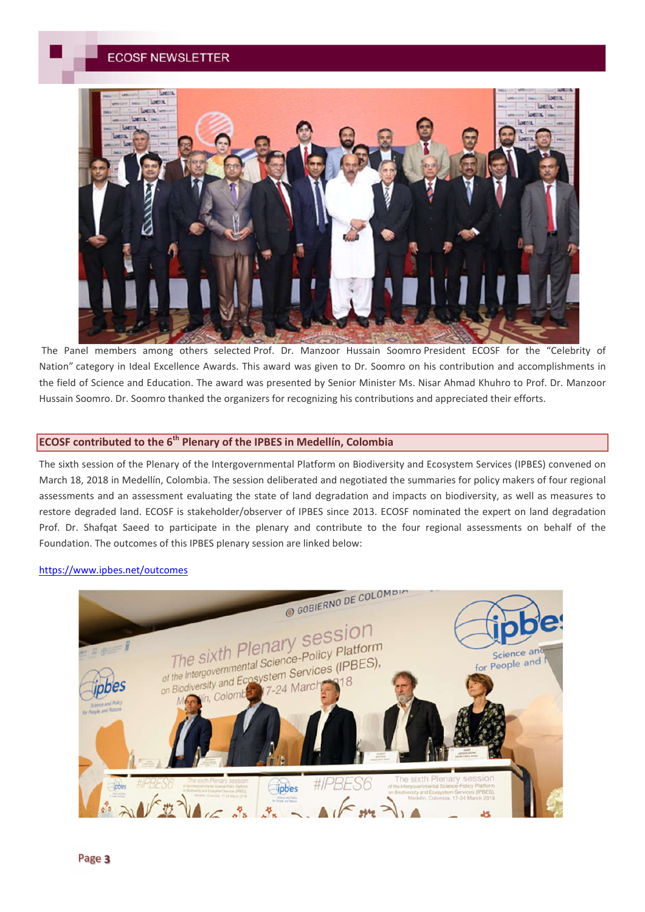

The Panel members among others selected Prof. Dr. Manzoor Hussain Soomro President ECOSF for the "Celebrity of Nation" category in Ideal Excellence Awards. This award was given to Dr. Soomro on his contribution and accomplishments in the field of Science and Education. The award was presented by Senior Minister Ms. Nisar Ahmad Khuhro to Prof. Dr. Manzoor Hussain Soomro. Dr. Soomro thanked the organizers for recognizing his contributions and appreciated their efforts.

## **ECOSF contributed to the 6th Plenary of the IPBES in Medellín, Colombia**

The sixth session of the Plenary of the Intergovernmental Platform on Biodiversity and Ecosystem Services (IPBES) convened on March 18, 2018 in Medellín, Colombia. The session deliberated and negotiated the summaries for policy makers of four regional assessments and an assessment evaluating the state of land degradation and impacts on biodiversity, as well as measures to restore degraded land. ECOSF is stakeholder/observer of IPBES since 2013. ECOSF nominated the expert on land degradation Prof. Dr. Shafqat Saeed to participate in the plenary and contribute to the four regional assessments on behalf of the Foundation. The outcomes of this IPBES plenary session are linked below:

#### https://www.ipbes.net/outcomes

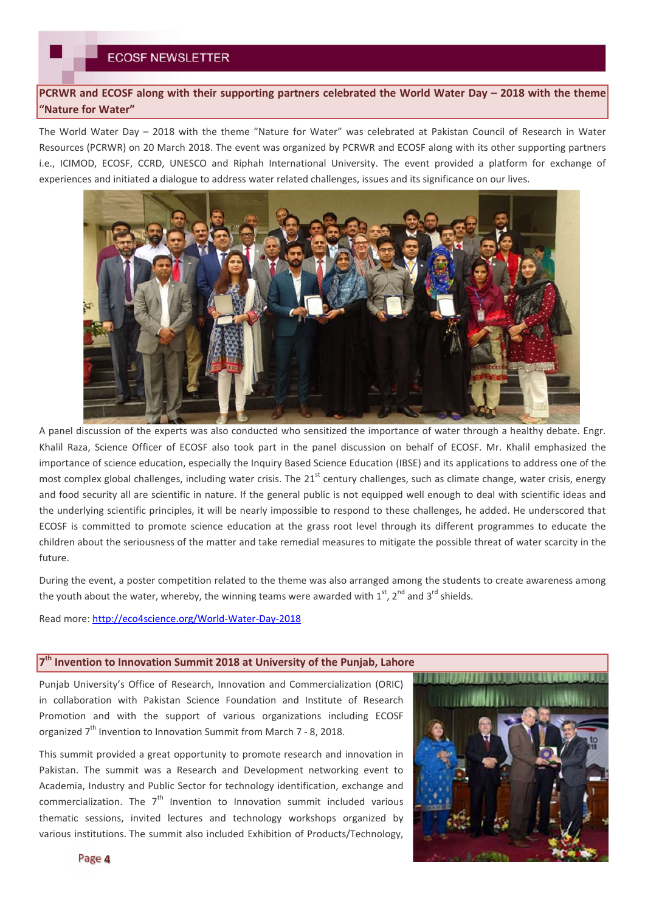**PCRWR and ECOSF along with their supporting partners celebrated the World Water Day – 2018 with the theme "Nature for Water"**

The World Water Day – 2018 with the theme "Nature for Water" was celebrated at Pakistan Council of Research in Water Resources (PCRWR) on 20 March 2018. The event was organized by PCRWR and ECOSF along with its other supporting partners i.e., ICIMOD, ECOSF, CCRD, UNESCO and Riphah International University. The event provided a platform for exchange of experiences and initiated a dialogue to address water related challenges, issues and its significance on our lives.



A panel discussion of the experts was also conducted who sensitized the importance of water through a healthy debate. Engr. Khalil Raza, Science Officer of ECOSF also took part in the panel discussion on behalf of ECOSF. Mr. Khalil emphasized the importance of science education, especially the Inquiry Based Science Education (IBSE) and its applications to address one of the most complex global challenges, including water crisis. The  $21<sup>st</sup>$  century challenges, such as climate change, water crisis, energy and food security all are scientific in nature. If the general public is not equipped well enough to deal with scientific ideas and the underlying scientific principles, it will be nearly impossible to respond to these challenges, he added. He underscored that ECOSF is committed to promote science education at the grass root level through its different programmes to educate the children about the seriousness of the matter and take remedial measures to mitigate the possible threat of water scarcity in the future.

During the event, a poster competition related to the theme was also arranged among the students to create awareness among the youth about the water, whereby, the winning teams were awarded with  $1^{st}$ ,  $2^{nd}$  and  $3^{rd}$  shields.

Read more: http://eco4science.org/World-Water-Day-2018

#### **7th Invention to Innovation Summit 2018 at University of the Punjab, Lahore**

Punjab University's Office of Research, Innovation and Commercialization (ORIC) in collaboration with Pakistan Science Foundation and Institute of Research Promotion and with the support of various organizations including ECOSF organized  $7<sup>th</sup>$  Invention to Innovation Summit from March 7 - 8, 2018.

This summit provided a great opportunity to promote research and innovation in Pakistan. The summit was a Research and Development networking event to Academia, Industry and Public Sector for technology identification, exchange and commercialization. The  $7<sup>th</sup>$  Invention to Innovation summit included various thematic sessions, invited lectures and technology workshops organized by various institutions. The summit also included Exhibition of Products/Technology,

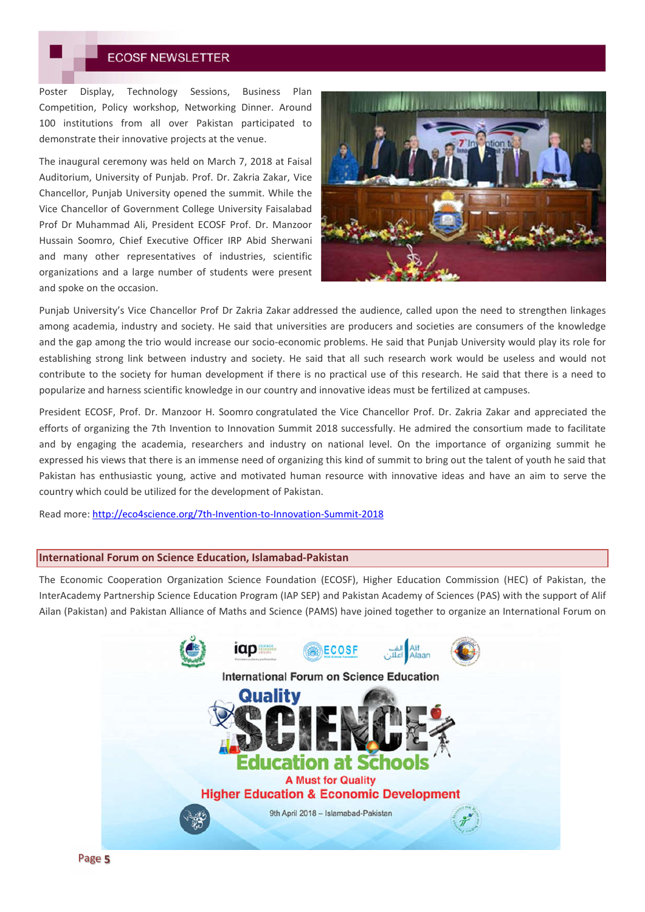Poster Display, Technology Sessions, Business Plan Competition, Policy workshop, Networking Dinner. Around 100 institutions from all over Pakistan participated to demonstrate their innovative projects at the venue.

The inaugural ceremony was held on March 7, 2018 at Faisal Auditorium, University of Punjab. Prof. Dr. Zakria Zakar, Vice Chancellor, Punjab University opened the summit. While the Vice Chancellor of Government College University Faisalabad Prof Dr Muhammad Ali, President ECOSF Prof. Dr. Manzoor Hussain Soomro, Chief Executive Officer IRP Abid Sherwani and many other representatives of industries, scientific organizations and a large number of students were present and spoke on the occasion.



Punjab University's Vice Chancellor Prof Dr Zakria Zakar addressed the audience, called upon the need to strengthen linkages among academia, industry and society. He said that universities are producers and societies are consumers of the knowledge and the gap among the trio would increase our socio-economic problems. He said that Punjab University would play its role for establishing strong link between industry and society. He said that all such research work would be useless and would not contribute to the society for human development if there is no practical use of this research. He said that there is a need to popularize and harness scientific knowledge in our country and innovative ideas must be fertilized at campuses.

President ECOSF, Prof. Dr. Manzoor H. Soomro congratulated the Vice Chancellor Prof. Dr. Zakria Zakar and appreciated the efforts of organizing the 7th Invention to Innovation Summit 2018 successfully. He admired the consortium made to facilitate and by engaging the academia, researchers and industry on national level. On the importance of organizing summit he expressed his views that there is an immense need of organizing this kind of summit to bring out the talent of youth he said that Pakistan has enthusiastic young, active and motivated human resource with innovative ideas and have an aim to serve the country which could be utilized for the development of Pakistan.

Read more: http://eco4science.org/7th-Invention-to-Innovation-Summit-2018

### **International Forum on Science Education, Islamabad-Pakistan**

The Economic Cooperation Organization Science Foundation (ECOSF), Higher Education Commission (HEC) of Pakistan, the InterAcademy Partnership Science Education Program (IAP SEP) and Pakistan Academy of Sciences (PAS) with the support of Alif Ailan (Pakistan) and Pakistan Alliance of Maths and Science (PAMS) have joined together to organize an International Forum on

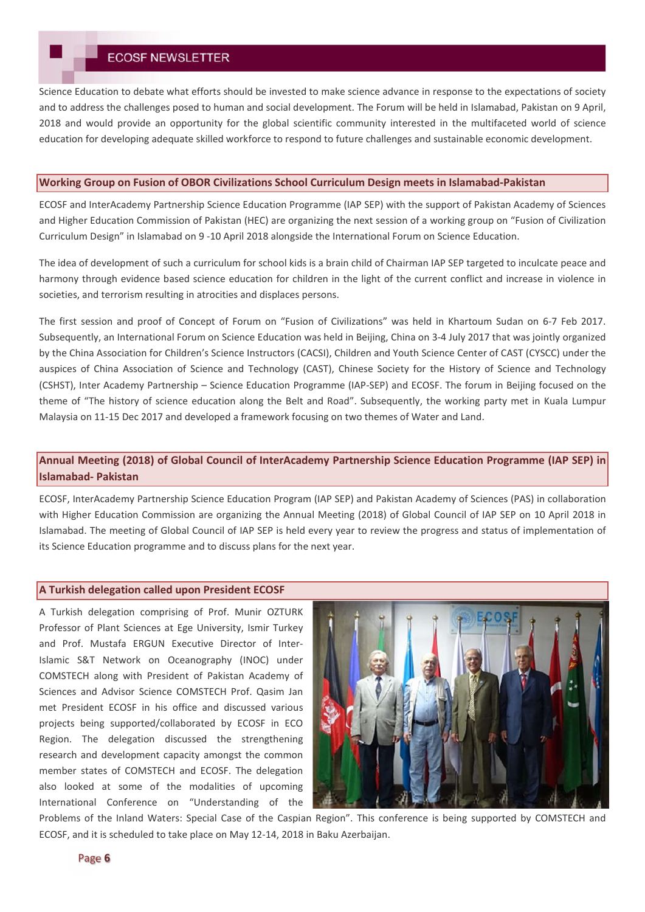Science Education to debate what efforts should be invested to make science advance in response to the expectations of society and to address the challenges posed to human and social development. The Forum will be held in Islamabad, Pakistan on 9 April, 2018 and would provide an opportunity for the global scientific community interested in the multifaceted world of science education for developing adequate skilled workforce to respond to future challenges and sustainable economic development.

## **Working Group on Fusion of OBOR Civilizations School Curriculum Design meets in Islamabad-Pakistan**

ECOSF and InterAcademy Partnership Science Education Programme (IAP SEP) with the support of Pakistan Academy of Sciences and Higher Education Commission of Pakistan (HEC) are organizing the next session of a working group on "Fusion of Civilization Curriculum Design" in Islamabad on 9 -10 April 2018 alongside the International Forum on Science Education.

The idea of development of such a curriculum for school kids is a brain child of Chairman IAP SEP targeted to inculcate peace and harmony through evidence based science education for children in the light of the current conflict and increase in violence in societies, and terrorism resulting in atrocities and displaces persons.

The first session and proof of Concept of Forum on "Fusion of Civilizations" was held in Khartoum Sudan on 6-7 Feb 2017. Subsequently, an International Forum on Science Education was held in Beijing, China on 3-4 July 2017 that was jointly organized by the China Association for Children's Science Instructors (CACSI), Children and Youth Science Center of CAST (CYSCC) under the auspices of China Association of Science and Technology (CAST), Chinese Society for the History of Science and Technology (CSHST), Inter Academy Partnership – Science Education Programme (IAP-SEP) and ECOSF. The forum in Beijing focused on the theme of "The history of science education along the Belt and Road". Subsequently, the working party met in Kuala Lumpur Malaysia on 11-15 Dec 2017 and developed a framework focusing on two themes of Water and Land.

## **Annual Meeting (2018) of Global Council of InterAcademy Partnership Science Education Programme (IAP SEP) in Islamabad- Pakistan**

ECOSF, InterAcademy Partnership Science Education Program (IAP SEP) and Pakistan Academy of Sciences (PAS) in collaboration with Higher Education Commission are organizing the Annual Meeting (2018) of Global Council of IAP SEP on 10 April 2018 in Islamabad. The meeting of Global Council of IAP SEP is held every year to review the progress and status of implementation of its Science Education programme and to discuss plans for the next year.

### **A Turkish delegation called upon President ECOSF**

A Turkish delegation comprising of Prof. Munir OZTURK Professor of Plant Sciences at Ege University, Ismir Turkey and Prof. Mustafa ERGUN Executive Director of Inter-Islamic S&T Network on Oceanography (INOC) under COMSTECH along with President of Pakistan Academy of Sciences and Advisor Science COMSTECH Prof. Qasim Jan met President ECOSF in his office and discussed various projects being supported/collaborated by ECOSF in ECO Region. The delegation discussed the strengthening research and development capacity amongst the common member states of COMSTECH and ECOSF. The delegation also looked at some of the modalities of upcoming International Conference on "Understanding of the



Problems of the Inland Waters: Special Case of the Caspian Region". This conference is being supported by COMSTECH and ECOSF, and it is scheduled to take place on May 12-14, 2018 in Baku Azerbaijan.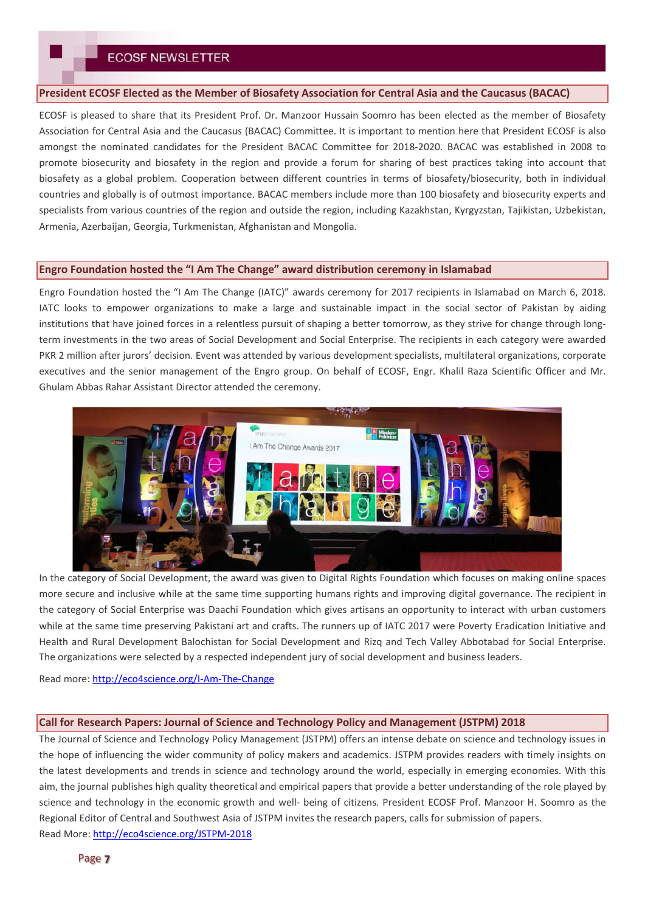### **President ECOSF Elected as the Member of Biosafety Association for Central Asia and the Caucasus (BACAC)**

ECOSF is pleased to share that its President Prof. Dr. Manzoor Hussain Soomro has been elected as the member of Biosafety Association for Central Asia and the Caucasus (BACAC) Committee. It is important to mention here that President ECOSF is also amongst the nominated candidates for the President BACAC Committee for 2018-2020. BACAC was established in 2008 to promote biosecurity and biosafety in the region and provide a forum for sharing of best practices taking into account that biosafety as a global problem. Cooperation between different countries in terms of biosafety/biosecurity, both in individual countries and globally is of outmost importance. BACAC members include more than 100 biosafety and biosecurity experts and specialists from various countries of the region and outside the region, including Kazakhstan, Kyrgyzstan, Tajikistan, Uzbekistan, Armenia, Azerbaijan, Georgia, Turkmenistan, Afghanistan and Mongolia.

## **Engro Foundation hosted the "I Am The Change" award distribution ceremony in Islamabad**

Engro Foundation hosted the "I Am The Change (IATC)" awards ceremony for 2017 recipients in Islamabad on March 6, 2018. IATC looks to empower organizations to make a large and sustainable impact in the social sector of Pakistan by aiding institutions that have joined forces in a relentless pursuit of shaping a better tomorrow, as they strive for change through longterm investments in the two areas of Social Development and Social Enterprise. The recipients in each category were awarded PKR 2 million after jurors' decision. Event was attended by various development specialists, multilateral organizations, corporate executives and the senior management of the Engro group. On behalf of ECOSF, Engr. Khalil Raza Scientific Officer and Mr. Ghulam Abbas Rahar Assistant Director attended the ceremony.



In the category of Social Development, the award was given to Digital Rights Foundation which focuses on making online spaces more secure and inclusive while at the same time supporting humans rights and improving digital governance. The recipient in the category of Social Enterprise was Daachi Foundation which gives artisans an opportunity to interact with urban customers while at the same time preserving Pakistani art and crafts. The runners up of IATC 2017 were Poverty Eradication Initiative and Health and Rural Development Balochistan for Social Development and Rizq and Tech Valley Abbotabad for Social Enterprise. The organizations were selected by a respected independent jury of social development and business leaders.

Read more: http://eco4science.org/I-Am-The-Change

#### **Call for Research Papers: Journal of Science and Technology Policy and Management (JSTPM) 2018**

The Journal of Science and Technology Policy Management (JSTPM) offers an intense debate on science and technology issues in the hope of influencing the wider community of policy makers and academics. JSTPM provides readers with timely insights on the latest developments and trends in science and technology around the world, especially in emerging economies. With this aim, the journal publishes high quality theoretical and empirical papers that provide a better understanding of the role played by science and technology in the economic growth and well- being of citizens. President ECOSF Prof. Manzoor H. Soomro as the Regional Editor of Central and Southwest Asia of JSTPM invites the research papers, calls for submission of papers. Read More: http://eco4science.org/JSTPM-2018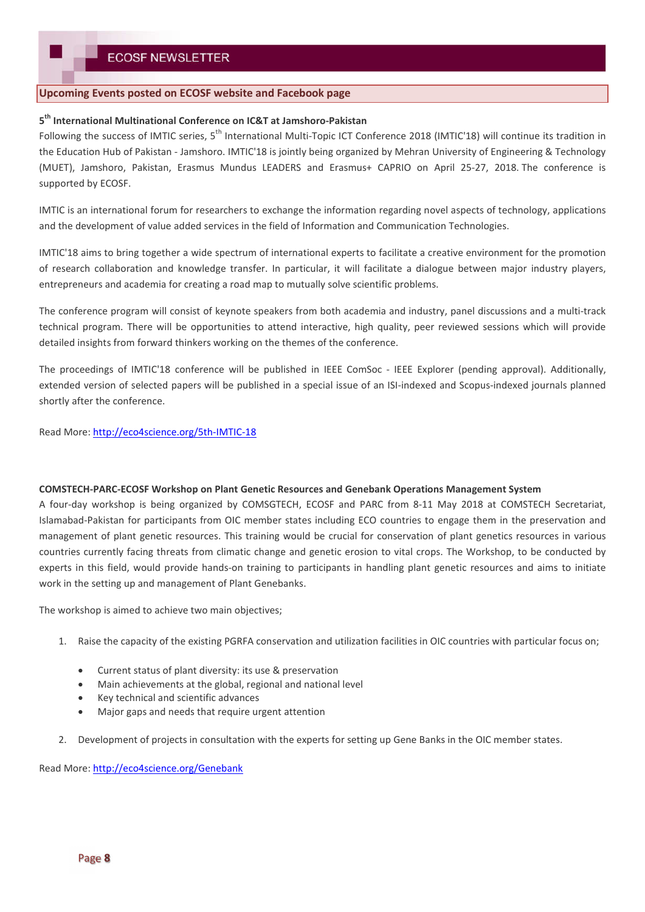## **Upcoming Events posted on ECOSF website and Facebook page**

## **5 th International Multinational Conference on IC&T at Jamshoro-Pakistan**

Following the success of IMTIC series, 5<sup>th</sup> International Multi-Topic ICT Conference 2018 (IMTIC'18) will continue its tradition in the Education Hub of Pakistan - Jamshoro. IMTIC'18 is jointly being organized by Mehran University of Engineering & Technology (MUET), Jamshoro, Pakistan, Erasmus Mundus LEADERS and Erasmus+ CAPRIO on April 25-27, 2018. The conference is supported by ECOSF.

IMTIC is an international forum for researchers to exchange the information regarding novel aspects of technology, applications and the development of value added services in the field of Information and Communication Technologies.

IMTIC'18 aims to bring together a wide spectrum of international experts to facilitate a creative environment for the promotion of research collaboration and knowledge transfer. In particular, it will facilitate a dialogue between major industry players, entrepreneurs and academia for creating a road map to mutually solve scientific problems.

The conference program will consist of keynote speakers from both academia and industry, panel discussions and a multi-track technical program. There will be opportunities to attend interactive, high quality, peer reviewed sessions which will provide detailed insights from forward thinkers working on the themes of the conference.

The proceedings of IMTIC'18 conference will be published in IEEE ComSoc - IEEE Explorer (pending approval). Additionally, extended version of selected papers will be published in a special issue of an ISI-indexed and Scopus-indexed journals planned shortly after the conference.

Read More: http://eco4science.org/5th-IMTIC-18

#### **COMSTECH-PARC-ECOSF Workshop on Plant Genetic Resources and Genebank Operations Management System**

A four-day workshop is being organized by COMSGTECH, ECOSF and PARC from 8-11 May 2018 at COMSTECH Secretariat, Islamabad-Pakistan for participants from OIC member states including ECO countries to engage them in the preservation and management of plant genetic resources. This training would be crucial for conservation of plant genetics resources in various countries currently facing threats from climatic change and genetic erosion to vital crops. The Workshop, to be conducted by experts in this field, would provide hands-on training to participants in handling plant genetic resources and aims to initiate work in the setting up and management of Plant Genebanks.

The workshop is aimed to achieve two main objectives;

- 1. Raise the capacity of the existing PGRFA conservation and utilization facilities in OIC countries with particular focus on;
	- Current status of plant diversity: its use & preservation
	- Main achievements at the global, regional and national level
	- Key technical and scientific advances
	- Major gaps and needs that require urgent attention
- 2. Development of projects in consultation with the experts for setting up Gene Banks in the OIC member states.

Read More: http://eco4science.org/Genebank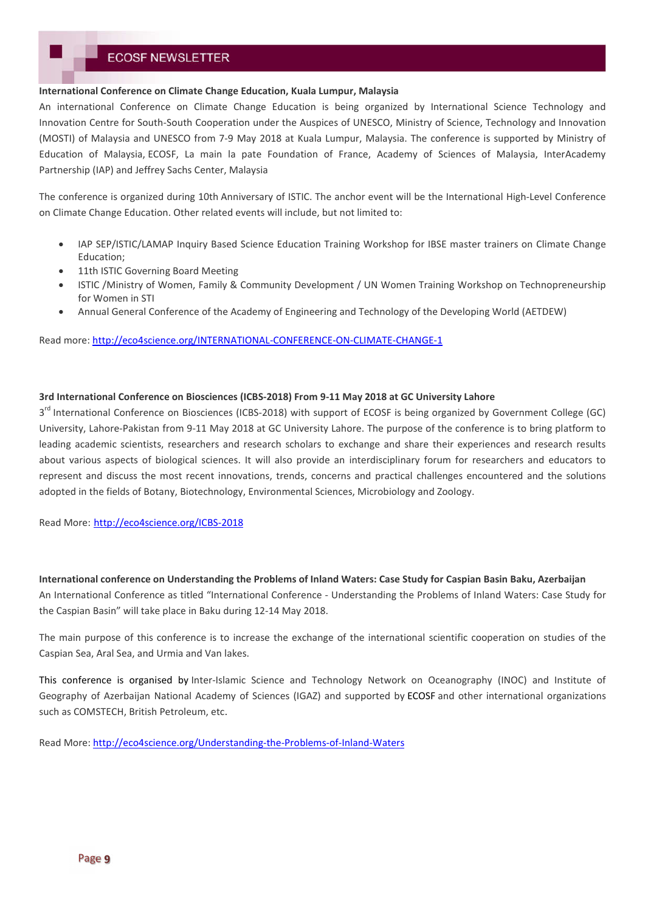#### **International Conference on Climate Change Education, Kuala Lumpur, Malaysia**

An international Conference on Climate Change Education is being organized by International Science Technology and Innovation Centre for South-South Cooperation under the Auspices of UNESCO, Ministry of Science, Technology and Innovation (MOSTI) of Malaysia and UNESCO from 7-9 May 2018 at Kuala Lumpur, Malaysia. The conference is supported by Ministry of Education of Malaysia, ECOSF, La main la pate Foundation of France, Academy of Sciences of Malaysia, InterAcademy Partnership (IAP) and Jeffrey Sachs Center, Malaysia

The conference is organized during 10th Anniversary of ISTIC. The anchor event will be the International High-Level Conference on Climate Change Education. Other related events will include, but not limited to:

- IAP SEP/ISTIC/LAMAP Inquiry Based Science Education Training Workshop for IBSE master trainers on Climate Change Education;
- 11th ISTIC Governing Board Meeting
- ISTIC /Ministry of Women, Family & Community Development / UN Women Training Workshop on Technopreneurship for Women in STI
- Annual General Conference of the Academy of Engineering and Technology of the Developing World (AETDEW)

Read more: http://eco4science.org/INTERNATIONAL-CONFERENCE-ON-CLIMATE-CHANGE-1

### **3rd International Conference on Biosciences (ICBS-2018) From 9-11 May 2018 at GC University Lahore**

3<sup>rd</sup> International Conference on Biosciences (ICBS-2018) with support of ECOSF is being organized by Government College (GC) University, Lahore-Pakistan from 9-11 May 2018 at GC University Lahore. The purpose of the conference is to bring platform to leading academic scientists, researchers and research scholars to exchange and share their experiences and research results about various aspects of biological sciences. It will also provide an interdisciplinary forum for researchers and educators to represent and discuss the most recent innovations, trends, concerns and practical challenges encountered and the solutions adopted in the fields of Botany, Biotechnology, Environmental Sciences, Microbiology and Zoology.

Read More: http://eco4science.org/ICBS-2018

**International conference on Understanding the Problems of Inland Waters: Case Study for Caspian Basin Baku, Azerbaijan** An International Conference as titled "International Conference - Understanding the Problems of Inland Waters: Case Study for the Caspian Basin" will take place in Baku during 12-14 May 2018.

The main purpose of this conference is to increase the exchange of the international scientific cooperation on studies of the Caspian Sea, Aral Sea, and Urmia and Van lakes.

This conference is organised by Inter-Islamic Science and Technology Network on Oceanography (INOC) and Institute of Geography of Azerbaijan National Academy of Sciences (IGAZ) and supported by ECOSF and other international organizations such as COMSTECH, British Petroleum, etc.

Read More: http://eco4science.org/Understanding-the-Problems-of-Inland-Waters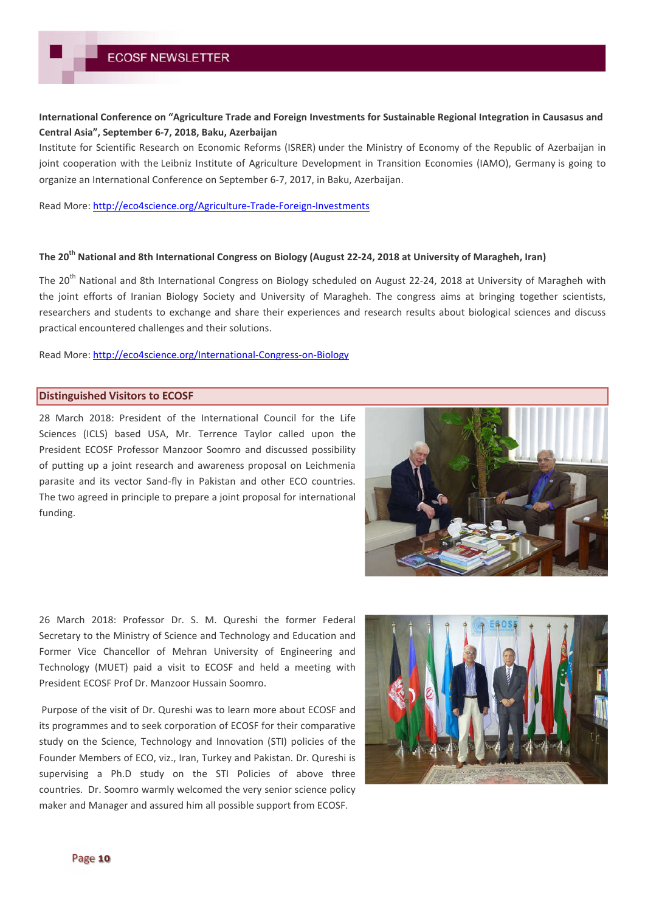## **International Conference on "Agriculture Trade and Foreign Investments for Sustainable Regional Integration in Causasus and Central Asia", September 6-7, 2018, Baku, Azerbaijan**

Institute for Scientific Research on Economic Reforms (ISRER) under the Ministry of Economy of the Republic of Azerbaijan in joint cooperation with the Leibniz Institute of Agriculture Development in Transition Economies (IAMO), Germany is going to organize an International Conference on September 6-7, 2017, in Baku, Azerbaijan.

Read More: http://eco4science.org/Agriculture-Trade-Foreign-Investments

## **The 20th National and 8th International Congress on Biology (August 22-24, 2018 at University of Maragheh, Iran)**

The 20<sup>th</sup> National and 8th International Congress on Biology scheduled on August 22-24, 2018 at University of Maragheh with the joint efforts of Iranian Biology Society and University of Maragheh. The congress aims at bringing together scientists, researchers and students to exchange and share their experiences and research results about biological sciences and discuss practical encountered challenges and their solutions.

Read More: http://eco4science.org/International-Congress-on-Biology

### **Distinguished Visitors to ECOSF**

28 March 2018: President of the International Council for the Life Sciences (ICLS) based USA, Mr. Terrence Taylor called upon the President ECOSF Professor Manzoor Soomro and discussed possibility of putting up a joint research and awareness proposal on Leichmenia parasite and its vector Sand-fly in Pakistan and other ECO countries. The two agreed in principle to prepare a joint proposal for international funding.



26 March 2018: Professor Dr. S. M. Qureshi the former Federal Secretary to the Ministry of Science and Technology and Education and Former Vice Chancellor of Mehran University of Engineering and Technology (MUET) paid a visit to ECOSF and held a meeting with President ECOSF Prof Dr. Manzoor Hussain Soomro.

Purpose of the visit of Dr. Qureshi was to learn more about ECOSF and its programmes and to seek corporation of ECOSF for their comparative study on the Science, Technology and Innovation (STI) policies of the Founder Members of ECO, viz., Iran, Turkey and Pakistan. Dr. Qureshi is supervising a Ph.D study on the STI Policies of above three countries. Dr. Soomro warmly welcomed the very senior science policy maker and Manager and assured him all possible support from ECOSF.



Page 10